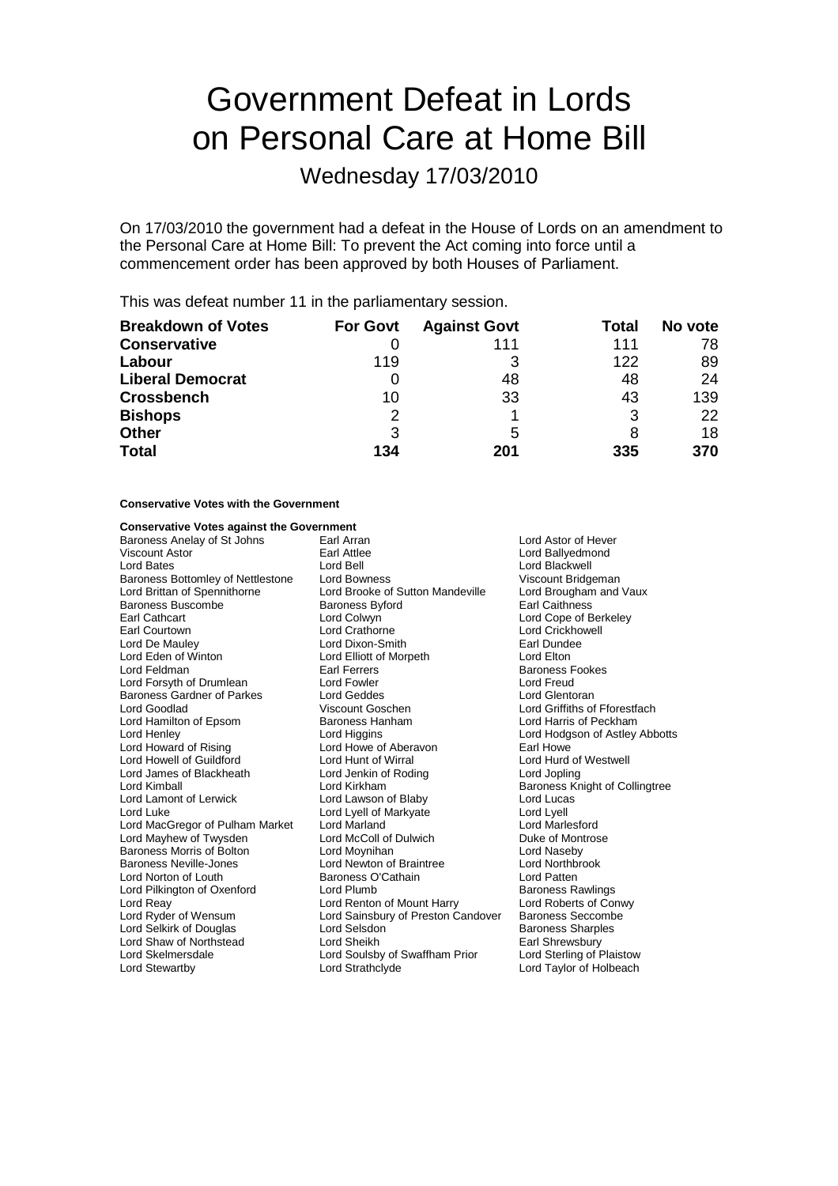# Government Defeat in Lords on Personal Care at Home Bill

Wednesday 17/03/2010

On 17/03/2010 the government had a defeat in the House of Lords on an amendment to the Personal Care at Home Bill: To prevent the Act coming into force until a commencement order has been approved by both Houses of Parliament.

This was defeat number 11 in the parliamentary session.

| <b>Breakdown of Votes</b> | <b>For Govt</b> | <b>Against Govt</b> | Total | No vote |
|---------------------------|-----------------|---------------------|-------|---------|
| <b>Conservative</b>       |                 | 111                 | 111   | 78      |
| Labour                    | 119             | 3                   | 122   | 89      |
| <b>Liberal Democrat</b>   |                 | 48                  | 48    | 24      |
| <b>Crossbench</b>         | 10              | 33                  | 43    | 139     |
| <b>Bishops</b>            | 2               |                     | 3     | 22      |
| <b>Other</b>              | 3               | 5                   |       | 18      |
| <b>Total</b>              | 134             | 201                 | 335   | 370     |

### **Conservative Votes with the Government**

### **Conservative Votes against the Government**

Baroness Anelay of St Johns Earl Arran and Earl Arran Lord Astor of Hever<br>
Viscount Astor Carl Attlee Carl Attlee Corpus Carl Attlee Corpus Corpus Carl Attlee Lord Bates **Lord Bell** Lord Bell Lord Bell Lord Blackwell<br>
Baroness Bottomley of Nettlestone Lord Bowness **Lord Britagemen** Viscount Bridgeman Baroness Bottomley of Nettlestone Lord Bowness Viscount Bridgeman<br>
Lord Brittan of Spennithorne Lord Brooke of Sutton Mandeville Lord Brougham and Vaux Baroness Buscombe<br>Earl Cathcart Earl Courtown **Earl Courtown** Lord Crathorne **Lord Crickhowell**<br>
Lord De Maulev **Lord Lord Dixon-Smith Carl Court Carl Court Carl Courtes** Lord De Mauley **Lord Dixon-Smith** Earl Dunde<br>
Lord Eden of Winton **Earl Dundee Lord Elliot** Cord Elliott of Morpeth **Earl Dundee Lord Feldman** Earl Ferrers **Earl Ferrers** Baroness Fookes Lord Forsyth of Drumlean Lord Fowler Lord Form Lord Freud<br>
Baroness Gardner of Parkes Lord Geddes Lord Cord Clentoran Baroness Gardner of Parkes Lord Geddes Lord Glentoran Lord Hamilton of Epsom Baroness Hanham Lord Harris of Peckham Lord Henley **Lord Higgins** Lord Higgins **Lord Howard of Astley Abbotts**<br>
Lord Howard of Rising **Lord Howe of Aberavon Earl Howe** Lord Howard of Rising Lord Howe of Aberavon<br>
Lord Howell of Guildford Lord Hunt of Wirral Lord James of Blackheath Lord Jenkin of Roding Lord Jopling Lord Lamont of Lerwick<br>Lord Luke Lord MacGregor of Pulham Market Lord Marland (Carolin Lord Marlesford Lord Marlesford Lord Marlesford Lord Mar<br>Lord Mayhew of Twysden (Lord McColl of Dulwich Corean Duke of Montrose Lord Mayhew of Twysden Lord McColl of Dulwich Cuke of Mont<br>Baroness Morris of Bolton Lord Moynihan Current Duke of Naseby Baroness Morris of Bolton Lord Moynihan Baroness Neville-Jones Lord Newton of Braintree Lord Northbrook Lord Norton of Louth **Baroness O'Cathain**<br>
Lord Pilkington of Oxenford Lord Plumb<br>
Lord Political Lord Plumb<br>
Baroness Rawlings Lord Pilkington of Oxenford Lord Plumb Lord Renton of Mount Harry Baroness Rawlings<br>
Lord Reay Conwy Lord Renton of Mount Harry Lord Roberts of Conwy Lord Ryder of Wensum Lord Sainsbury of Preston Candover Baroness Seccombe<br>Lord Selkirk of Douglas Lord Selsdon Baroness Sharples Lord Selshirk of Douglas Lord Selsdon<br>
Lord Sheikh Baroness Sharples<br>
Lord Sheikh Barl Shrewsbury Lord Shaw of Northstead Lord Sheikh Earl Shrewsbury<br>
Lord Skelmersdale Lord Soulsby of Swaffham Prior Lord Sterling of Plaistow Lord Skelmersdale Lord Soulsby of Swaffham Prior Lord Stewartby Lord Strathclyde Lord Taylor of Holbeach

Earl Attlee **Viscount Assemble Lord Ballyedmond Lord Ballyedmond**<br>
Lord Bell **Lord Blackwell** Lord Brooke of Sutton Mandeville Lord Brougham<br>Baroness Byford Brougham Earl Caithness Lord Colwyn Lord Cope of Berkeley Lord Elliott of Morpeth<br>Earl Eerrers Lord Kirkham **Election Colling Colling Collingtive Collingtree**<br>
Lord Lawson of Blaby **Baroness Knight of Collingtree** Lord Luke Lord Lyell of Markyate Lord Lyell Lord Renton of Mount Harry

Lord Griffiths of Fforestfach Lord Hurd of Westwell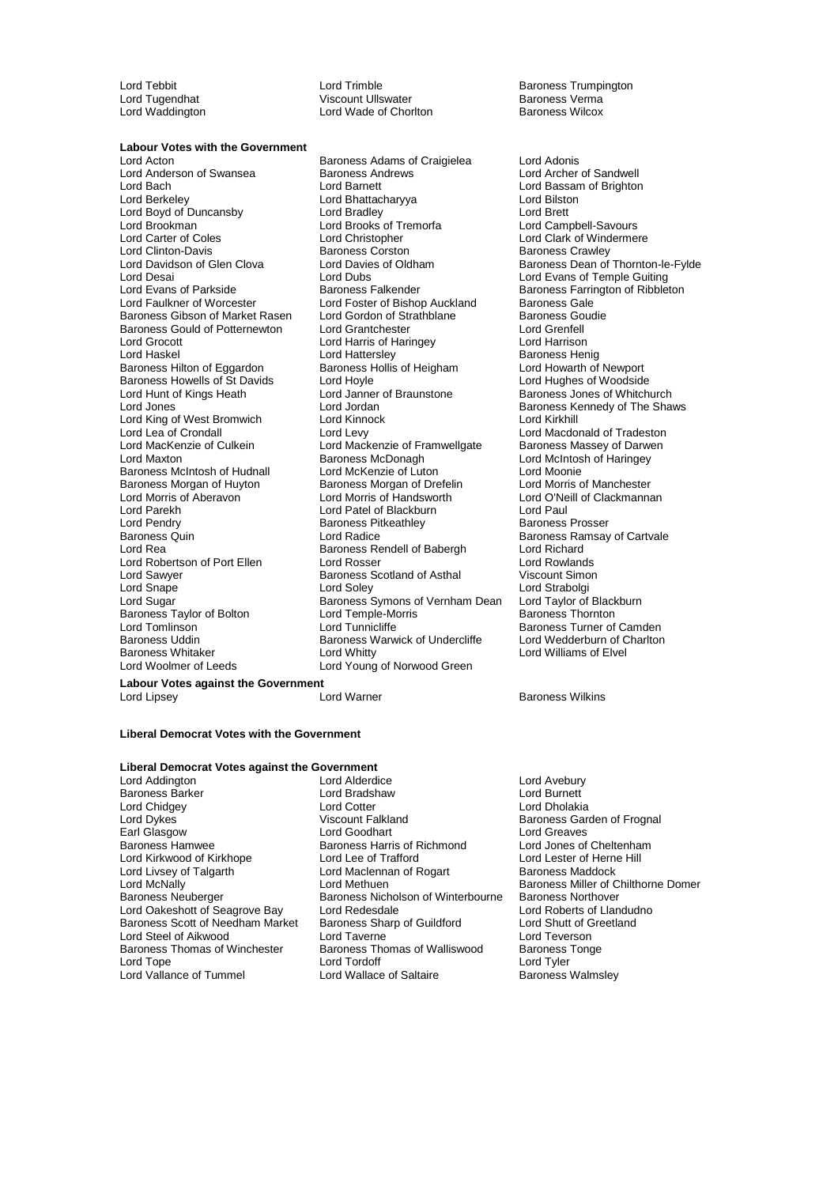**Labour Votes with the Government**<br>Lord Acton

Baroness Gibson of Market Rasen Baroness Howells of St Davids<br>
Lord Hoyle<br>
Lord Hunt of Kings Heath<br>
Lord Janner of Braunstone Lord King of West Bromwich Lord Kinnock<br>
Lord Lea of Crondall Lord Levy Lord MacKenzie of Culkein Lord Mackenzie of Framwellgate<br>Lord Maxton Lord Baroness McDonagh Lord Pendry **Baroness Pitkeathley**<br>
Baroness Quin<br>
Lord Radice Baroness Taylor of Bolton Lord Temple-Morris Baroness Taylor of Bolton Lord Temple-Morris Lord Tunnicliffe Baroness Uddin Baroness Warwick of Undercliffe<br>Baroness Whitaker **Baron of Charlton Charlton** Lord Whitty

Lord Tugendhat Viscount Ullswater Baroness Verma Lord Wade of Chorlton

Baroness Adams of Craigielea Lord Adonis Lord Anderson of Swansea Baroness Andrews Lord Archer of Sandwell<br>
Lord Bach Lord Baroness Andrews Lord Baroness Andrews Lord Bassam of Brighton Lord Bach Lord Barnett Lord Bassam of Brighton Lord Berkeley Lord Bhattacharyya Lord Bilston Lord Boyd of Duncansby Lord Bradley Lord Brett Lord Brookman Lord Brooks of Tremorfa<br>
Lord Brookman Lord Campbell-Savours<br>
Lord Carter of Coles Lord Christopher Lord Clark of Windermer Lord Carter of Coles Lord Christopher Lord Carter of Coles Lord Christopher Lord Clark of Windermere<br>
Lord Clinton-Davis Baroness Corston Baroness Crawley Lord Clinton-Davis<br>
Lord Clinton-Davis<br>
Lord Davidson of Glen Clova Lord Davies of Oldham Baroness Dean of Lord Davidson of Glen Clova Lord Davies of Oldham Baroness Dean of Thornton-le-Fylde<br>Lord Desai Lord Dubs Lord Dubs Lord Evans of Temple Guiting Lord Desai Lord Dubs Lord Evans of Temple Guiting Lord Evans of Parkside Baroness Falkender Baroness Farrington of Ribbleton<br>
Lord Faulkner of Worcester Lord Foster of Bishop Auckland Baroness Gale Lord Foster of Bishop Auckland Baroness Gale<br>
Lord Gordon of Strathblane Baroness Goudie Baroness Gould of Potternewton Lord Grantchester Lord Grenfell Lord Harris of Haringey Lord Harrison Lord Haskel Lord Hattersley Cord Hattersley Cord Haskel Baroness Henig<br>Baroness Hilton of Eggardon Baroness Hollis of Heigham Lord Howarth of Newport Baroness Hilton of Eggardon Baroness Hollis of Heigham Lord Howarth of Newport<br>Baroness Howells of St Davids I ord Hovle I are all on Hughes of Woodside Lord Hunt of Kings Heath Lord Janustone Baroness Jones of Whitchurch<br>
Lord Jones Cord Jordan Baroness Kennedy of The Shar Lord Lea of Crondall **Lord Levy** Lord Levy Lord Macdonald of Tradeston<br>
Lord MacKenzie of Culkein **Lord Mackenzie of Framwellgate** Baroness Massey of Darwen Baroness McDonagh **Lord McIntosh of Haringey**<br>
Lord McKenzie of Luton<br>
Lord Moonie Baroness McIntosh of Hudnall Lord McKenzie of Luton Lord Moonie<br>
Baroness Morgan of Huyton Baroness Morgan of Drefelin Lord Morris of Manchester Baroness Morgan of Drefelin Lord Morris of Aberavon Lord Morris of Handsworth Lord O'Neill of Clackmannan Lord Parekh Lord Patel of Blackburn Lord Paul Baroness Quin **Exercise Search Control** Lord Radice **Baroness Ramsay of Cartvale** Baroness Ramsay of Cartvale Cord Richard Baroness Rendell of Babergh Lord Richard<br>
Lord Rosser Cord Rowlands Lord Robertson of Port Ellen Lord Rosser Lord Rosser Lord Rowlands<br>
Lord Sawyer Baroness Scotland of Asthal Viscount Simon Baroness Scotland of Asthal Lord Snape Cord Soley Cord Soley Lord Strabolgi<br>Lord Sugar Cord Strabolgi Baroness Symons of Vernham Dean Lord Taylor of Blackburn Exercises Symons of Vernham Dean<br>
Lord Temple-Morris<br>
Baroness Thornton Lord Tomlinson Lord Tunnicliffe **Baroness Turner of Camden**<br>Baroness Uurner of Camden<br>Baroness Warwick of Undercliffe Lord Wedderburn of Charlton Baroness Whitaker **Lord Whitty** Lord Whitty **Lord White** Lord Works Lord Williams of Elvel Lord Works Lord Works Lord Works Lord Works Lord Works Lord Works Lord Works Lord Works Lord Works Lord Works Lord Works Lord Young Lord Young of Norwood Green

Lord Tebbit Lord Trimble Communication Christian Baroness Trumpington<br>
Lord Tugendhat Communication Communication Communication Christian Christian Christian Christian Christian Ch

Baroness Kennedy of The Shaws<br>Lord Kirkhill

## **Labour Votes against the Government**

Lord Lipsey Lord Warner Baroness Wilkins

### **Liberal Democrat Votes with the Government**

### **Liberal Democrat Votes against the Government**

Lord Addington Lord Avebury<br>
Baroness Barker Lord Burnett<br>
Lord Bradshaw Lord Burnett Baroness Barker Lord Bradshaw Lord Bradshaw Lord Bradshaw Lord Bradshaw Lord Cotter Lord Livsey of Talgarth Lord Maclennan of Rogart<br>
Lord McNally<br>
Lord Methuen Baroness Thomas of Winchester Baroness Thomas of Walliswood<br>Lord Tone Baroness Thomas of Walliswood

Lord Chidgey Lord Cotter Lord Dholakia Earl Glasgow **Lord Goodhart** Lord Goodhart Lord Greaves Lord Greaves Cheltenham<br>
Baroness Hammed Baroness Harris of Richmond Lord Jones of Cheltenham Baroness Harris of Richmond Lord Jones of Cheltenham<br>Lord Lee of Trafford Lord Lester of Herne Hill Lord Kirkwood of Kirkhope Lord Lee of Trafford Cord Lester of Herne Lord Lester of Herne Lord Lester of Herne H<br>
Lord Livey of Talgarth Cord Maclennan of Rogart Baroness Maddock Lord McNally Lord Methuen Baroness Miller of Chilthorne Domer<br>Baroness Miller of Chilthorne Domer<br>Baroness Neuberger Baroness New Baroness Northover Baroness Nicholson of Winterbourne Baroness Northover<br>Lord Redesdale **Baroness** Lord Roberts of Llandudno Lord Oakeshott of Seagrove Bay Lord Redesdale Lord Cord Roberts of Llandud<br>
Baroness Scott of Needham Market Baroness Sharp of Guildford Lord Shutt of Greetland Baroness Scott of Needham Market Baroness Sharp of Guildford Lord Shutt of Greetland Shutt of Greetland Shutt of Greetland Lord Taverne Lord Teverson Lord Steel of Aikwood **Lord Taverne** Lord Taverne Lord Teverson<br>
Baroness Thomas of Winchester Baroness Thomas of Walliswood Baroness Tonge Lord Vallance of Tummel **Lord Wallace of Saltaire** Baroness Walmsley

Baroness Garden of Frognal Lord Tyler